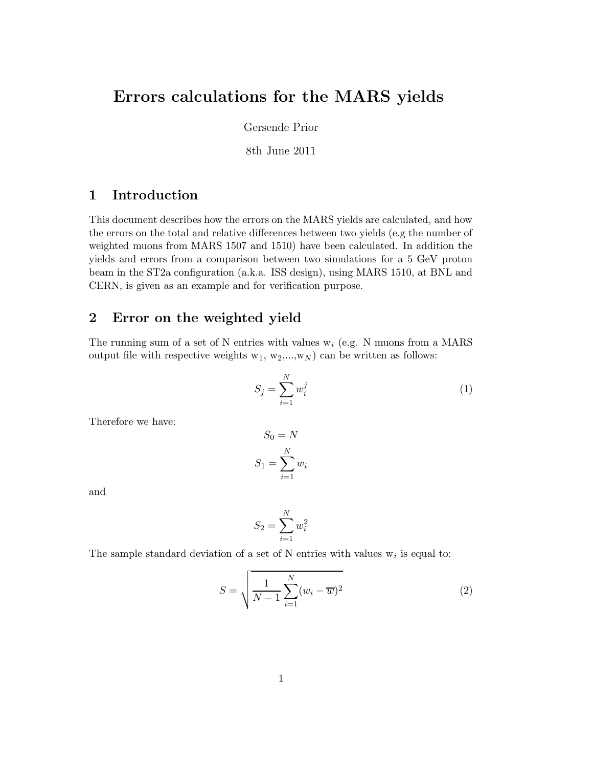# Errors calculations for the MARS yields

Gersende Prior

8th June 2011

### 1 Introduction

This document describes how the errors on the MARS yields are calculated, and how the errors on the total and relative differences between two yields (e.g the number of weighted muons from MARS 1507 and 1510) have been calculated. In addition the yields and errors from a comparison between two simulations for a 5 GeV proton beam in the ST2a configuration (a.k.a. ISS design), using MARS 1510, at BNL and CERN, is given as an example and for verification purpose.

## 2 Error on the weighted yield

The running sum of a set of N entries with values  $w_i$  (e.g. N muons from a MARS) output file with respective weights  $w_1, w_2,...,w_N$  can be written as follows:

$$
S_j = \sum_{i=1}^N w_i^j \tag{1}
$$

Therefore we have:

$$
S_0 = N
$$

$$
S_1 = \sum_{i=1}^{N} w_i
$$

and

$$
S_2 = \sum_{i=1}^N w_i^2
$$

The sample standard deviation of a set of N entries with values  $w_i$  is equal to:

$$
S = \sqrt{\frac{1}{N-1} \sum_{i=1}^{N} (w_i - \overline{w})^2}
$$
 (2)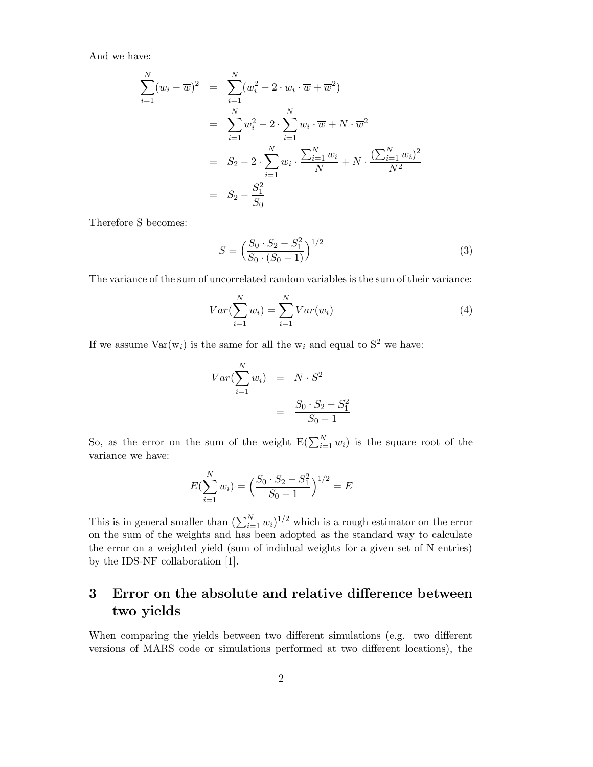And we have:

$$
\sum_{i=1}^{N} (w_i - \overline{w})^2 = \sum_{i=1}^{N} (w_i^2 - 2 \cdot w_i \cdot \overline{w} + \overline{w}^2)
$$
  
= 
$$
\sum_{i=1}^{N} w_i^2 - 2 \cdot \sum_{i=1}^{N} w_i \cdot \overline{w} + N \cdot \overline{w}^2
$$
  
= 
$$
S_2 - 2 \cdot \sum_{i=1}^{N} w_i \cdot \frac{\sum_{i=1}^{N} w_i}{N} + N \cdot \frac{(\sum_{i=1}^{N} w_i)^2}{N^2}
$$
  
= 
$$
S_2 - \frac{S_1^2}{S_0}
$$

Therefore S becomes:

$$
S = \left(\frac{S_0 \cdot S_2 - S_1^2}{S_0 \cdot (S_0 - 1)}\right)^{1/2} \tag{3}
$$

The variance of the sum of uncorrelated random variables is the sum of their variance:

$$
Var(\sum_{i=1}^{N} w_i) = \sum_{i=1}^{N} Var(w_i)
$$
\n(4)

If we assume  $Var(w_i)$  is the same for all the  $w_i$  and equal to  $S^2$  we have:

$$
Var(\sum_{i=1}^{N} w_i) = N \cdot S^2
$$

$$
= \frac{S_0 \cdot S_2 - S_1^2}{S_0 - 1}
$$

So, as the error on the sum of the weight  $E(\sum_{i=1}^{N} w_i)$  is the square root of the variance we have:

$$
E(\sum_{i=1}^{N} w_i) = \left(\frac{S_0 \cdot S_2 - S_1^2}{S_0 - 1}\right)^{1/2} = E
$$

This is in general smaller than  $(\sum_{i=1}^{N} w_i)^{1/2}$  which is a rough estimator on the error on the sum of the weights and has been adopted as the standard way to calculate the error on a weighted yield (sum of indidual weights for a given set of N entries) by the IDS-NF collaboration [1].

## 3 Error on the absolute and relative difference between two yields

When comparing the yields between two different simulations (e.g. two different versions of MARS code or simulations performed at two different locations), the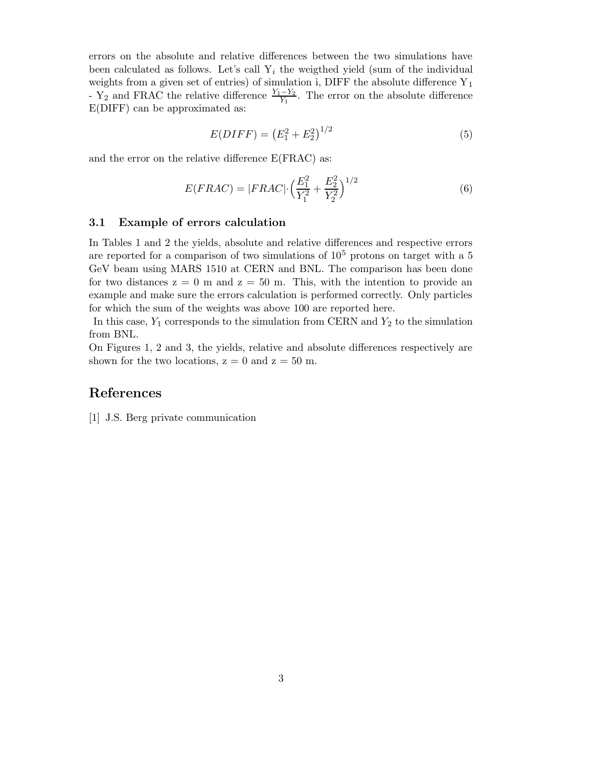errors on the absolute and relative differences between the two simulations have been calculated as follows. Let's call  $Y_i$  the weigthed yield (sum of the individual weights from a given set of entries) of simulation i, DIFF the absolute difference  $Y_1$ - Y<sub>2</sub> and FRAC the relative difference  $\frac{Y_1 - Y_2}{Y_1}$ . The error on the absolute difference E(DIFF) can be approximated as:

$$
E(DIFF) = (E_1^2 + E_2^2)^{1/2}
$$
\n(5)

and the error on the relative difference E(FRAC) as:

$$
E(FRAC) = |FRAC| \cdot \left(\frac{E_1^2}{Y_1^2} + \frac{E_2^2}{Y_2^2}\right)^{1/2} \tag{6}
$$

#### 3.1 Example of errors calculation

In Tables 1 and 2 the yields, absolute and relative differences and respective errors are reported for a comparison of two simulations of  $10^5$  protons on target with a 5 GeV beam using MARS 1510 at CERN and BNL. The comparison has been done for two distances  $z = 0$  m and  $z = 50$  m. This, with the intention to provide an example and make sure the errors calculation is performed correctly. Only particles for which the sum of the weights was above 100 are reported here.

In this case,  $Y_1$  corresponds to the simulation from CERN and  $Y_2$  to the simulation from BNL.

On Figures 1, 2 and 3, the yields, relative and absolute differences respectively are shown for the two locations,  $z = 0$  and  $z = 50$  m.

#### References

[1] J.S. Berg private communication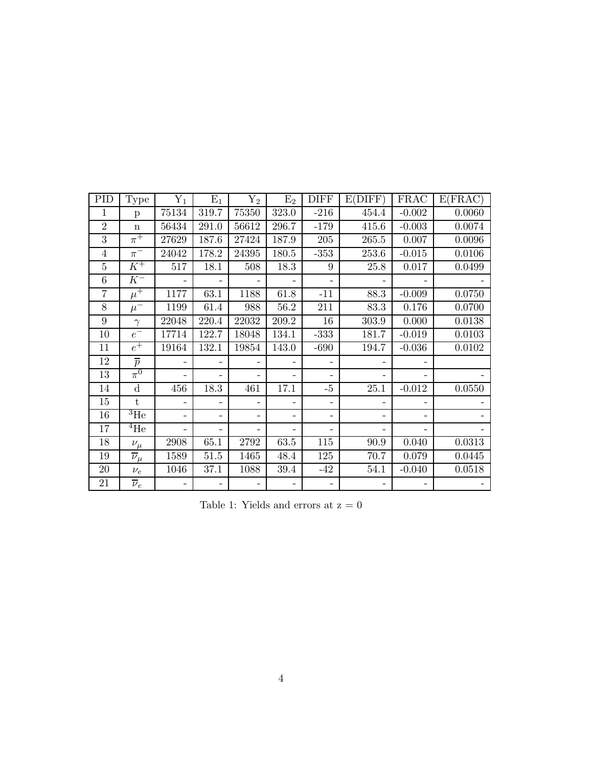| <b>PID</b>     | <b>Type</b>          | $\mathrm{Y}_1$ | $E_1$                    | ${\rm Y}_2$ | E <sub>2</sub>           | <b>DIFF</b>              | E(DIFF)  | <b>FRAC</b> | E(FRAC) |
|----------------|----------------------|----------------|--------------------------|-------------|--------------------------|--------------------------|----------|-------------|---------|
| $\mathbf{1}$   | $\mathbf{p}$         | 75134          | 319.7                    | 75350       | 323.0                    | $-216$                   | 454.4    | $-0.002$    | 0.0060  |
| $\overline{2}$ | $\mathbf n$          | 56434          | 291.0                    | 56612       | 296.7                    | $-179$                   | 415.6    | $-0.003$    | 0.0074  |
| $\overline{3}$ | $\pi^+$              | 27629          | 187.6                    | 27424       | 187.9                    | 205                      | 265.5    | 0.007       | 0.0096  |
| $\overline{4}$ | $\pi^-$              | 24042          | 178.2                    | 24395       | 180.5                    | $-353$                   | 253.6    | $-0.015$    | 0.0106  |
| $\overline{5}$ | $K^+$                | 517            | 18.1                     | 508         | 18.3                     | 9                        | 25.8     | 0.017       | 0.0499  |
| 6              | $K^-$                |                |                          |             |                          |                          |          |             |         |
| $\overline{7}$ | $\mu^+$              | 1177           | 63.1                     | 1188        | 61.8                     | $-11$                    | 88.3     | $-0.009$    | 0.0750  |
| 8              | $\mu^-$              | 1199           | 61.4                     | 988         | 56.2                     | 211                      | 83.3     | 0.176       | 0.0700  |
| 9              | $\gamma$             | 22048          | 220.4                    | 22032       | 209.2                    | 16                       | 303.9    | 0.000       | 0.0138  |
| 10             | $e^-$                | 17714          | 122.7                    | 18048       | 134.1                    | $-333$                   | 181.7    | $-0.019$    | 0.0103  |
| 11             | $\overline{e^+}$     | 19164          | 132.1                    | 19854       | 143.0                    | $-690$                   | 194.7    | $-0.036$    | 0.0102  |
| 12             | $\overline{p}$       |                |                          |             |                          |                          |          |             |         |
| 13             | $\pi^0$              |                | $\qquad \qquad -$        |             | $\overline{\phantom{a}}$ | $\overline{\phantom{0}}$ |          |             |         |
| 14             | $\mathbf d$          | 456            | 18.3                     | 461         | 17.1                     | $-5$                     | $25.1\,$ | $-0.012$    | 0.0550  |
| 15             | t                    |                |                          |             |                          |                          |          |             |         |
| $16\,$         | $^3 \mathrm{He}$     |                | $\overline{\phantom{0}}$ |             | $\qquad \qquad -$        | $\overline{\phantom{a}}$ |          |             |         |
| 17             | $\rm ^{4}He$         |                |                          |             | $\overline{\phantom{0}}$ |                          |          |             |         |
| 18             | $\nu_\mu$            | $\,2908$       | 65.1                     | 2792        | 63.5                     | 115                      | 90.9     | 0.040       | 0.0313  |
| 19             | $\overline{\nu}_\mu$ | 1589           | 51.5                     | 1465        | 48.4                     | 125                      | 70.7     | 0.079       | 0.0445  |
| 20             | $\nu_e$              | 1046           | 37.1                     | 1088        | 39.4                     | $-42$                    | 54.1     | $-0.040$    | 0.0518  |
| 21             | $\overline{\nu}_e$   |                |                          |             |                          |                          |          |             |         |

Table 1: Yields and errors at  $\rm z=0$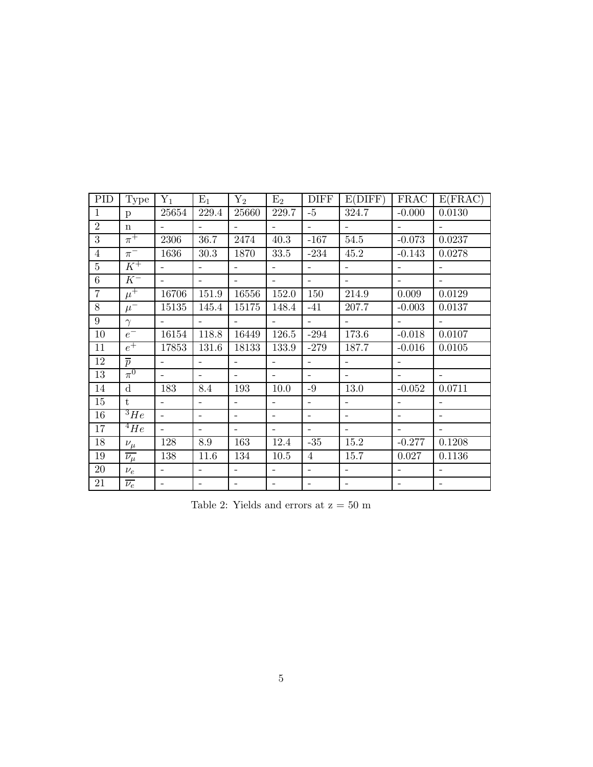| <b>PID</b>     | <b>Type</b>          | $Y_1$                    | $E_1$                    | ${\rm Y}_2$              | $E_2$                    | <b>DIFF</b>              | E(DIFF)                  | <b>FRAC</b>              | E(FRAC)                  |
|----------------|----------------------|--------------------------|--------------------------|--------------------------|--------------------------|--------------------------|--------------------------|--------------------------|--------------------------|
| $\mathbf{1}$   | $\mathbf{p}$         | 25654                    | 229.4                    | 25660                    | 229.7                    | $-5$                     | 324.7                    | $-0.000$                 | 0.0130                   |
| $\overline{2}$ | $\mathbf n$          |                          |                          |                          |                          | $\equiv$                 |                          |                          |                          |
| $\overline{3}$ | $\pi^+$              | 2306                     | $\overline{36.7}$        | 2474                     | 40.3                     | $-167$                   | 54.5                     | $-0.073$                 | 0.0237                   |
| $\overline{4}$ | $\pi^-$              | 1636                     | 30.3                     | 1870                     | 33.5                     | $-234$                   | 45.2                     | $-0.143$                 | 0.0278                   |
| $\overline{5}$ | $K^+$                |                          | $\overline{a}$           | $\sim$                   | $\overline{\phantom{0}}$ | $\equiv$                 | $\equiv$                 | $\overline{a}$           | $\overline{\phantom{a}}$ |
| 6              | $K^-$                | $\overline{\phantom{0}}$ | $\equiv$                 | $\equiv$                 | $\overline{\phantom{a}}$ | $\sim$                   | $\overline{a}$           | $\overline{\phantom{a}}$ | $\overline{\phantom{a}}$ |
| $\overline{7}$ | $\mu^+$              | 16706                    | 151.9                    | 16556                    | 152.0                    | 150                      | 214.9                    | 0.009                    | 0.0129                   |
| $8\,$          | $\mu^-$              | 15135                    | 145.4                    | 15175                    | 148.4                    | $-41$                    | 207.7                    | $-0.003$                 | 0.0137                   |
| 9              | $\gamma$             |                          | $\sim$                   | $\equiv$                 | $\equiv$                 | $\overline{\phantom{0}}$ | $\overline{\phantom{a}}$ | $\sim$                   | $\overline{a}$           |
| $10\,$         | $e^-$                | 16154                    | 118.8                    | 16449                    | 126.5                    | $-294$                   | 173.6                    | $-0.018$                 | 0.0107                   |
| 11             | $e^+$                | 17853                    | 131.6                    | 18133                    | 133.9                    | $-279$                   | 187.7                    | $-0.016$                 | 0.0105                   |
| 12             | $\overline{p}$       |                          |                          |                          |                          | $\overline{\phantom{0}}$ |                          |                          |                          |
| 13             | $\pi^0$              |                          | $\overline{\phantom{a}}$ | $\overline{\phantom{0}}$ | $\overline{\phantom{a}}$ | $\overline{\phantom{0}}$ | $\blacksquare$           | $\sim$                   | $\overline{\phantom{a}}$ |
| 14             | $\mathbf d$          | 183                      | 8.4                      | 193                      | 10.0                     | $-9$                     | 13.0                     | $-0.052$                 | 0.0711                   |
| 15             | $t_{i}$              |                          |                          |                          |                          | $\overline{a}$           |                          |                          |                          |
| 16             | $\overline{{}^3He}$  | $\overline{\phantom{0}}$ | $\equiv$                 | $\overline{\phantom{0}}$ | $\overline{\phantom{a}}$ | $\overline{\phantom{a}}$ | $\overline{\phantom{a}}$ | $\overline{a}$           | $\overline{\phantom{a}}$ |
| 17             | $^{4}He$             | $\overline{\phantom{a}}$ | $\blacksquare$           | ÷.                       | $\overline{\phantom{a}}$ | $\equiv$                 |                          |                          |                          |
| 18             | $\nu_\mu$            | 128                      | 8.9                      | 163                      | 12.4                     | $-35$                    | 15.2                     | $-0.277$                 | 0.1208                   |
| 19             | $\overline{\nu_\mu}$ | 138                      | 11.6                     | 134                      | 10.5                     | $\overline{4}$           | 15.7                     | 0.027                    | 0.1136                   |
| 20             | $\nu_e$              |                          | $\equiv$                 | $\overline{a}$           | $\overline{\phantom{0}}$ | $\overline{\phantom{a}}$ | $\overline{\phantom{0}}$ |                          | $\overline{\phantom{a}}$ |
| 21             | $\overline{\nu_e}$   | $\qquad \qquad -$        | $\overline{\phantom{a}}$ | $\qquad \qquad -$        | $\overline{\phantom{a}}$ | $\overline{\phantom{0}}$ | $\overline{\phantom{0}}$ | $\overline{\phantom{a}}$ | $\qquad \qquad -$        |

Table 2: Yields and errors at  $\rm z=50~m$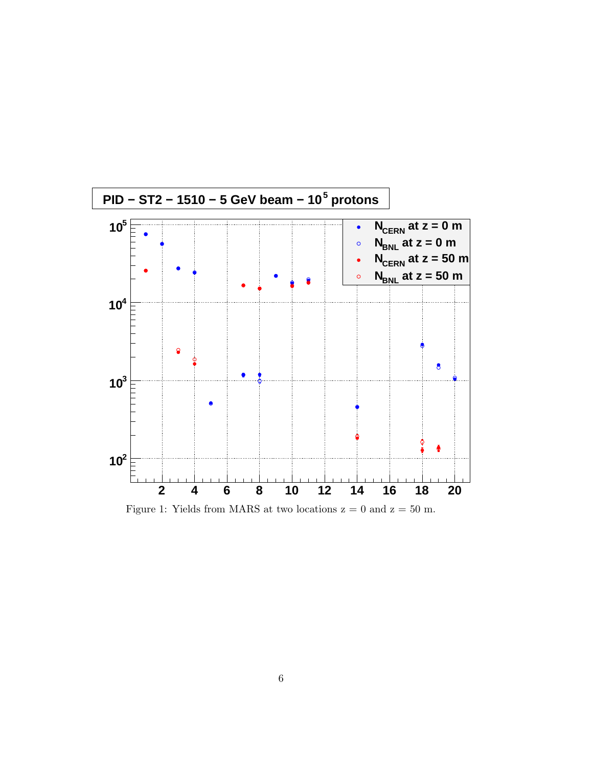

Figure 1: Yields from MARS at two locations  $z = 0$  and  $z = 50$  m.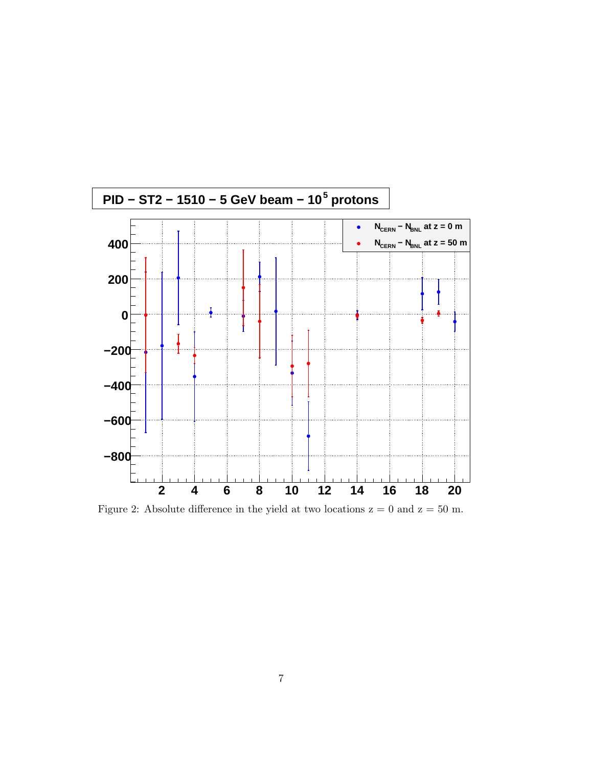

Figure 2: Absolute difference in the yield at two locations  $z = 0$  and  $z = 50$  m.